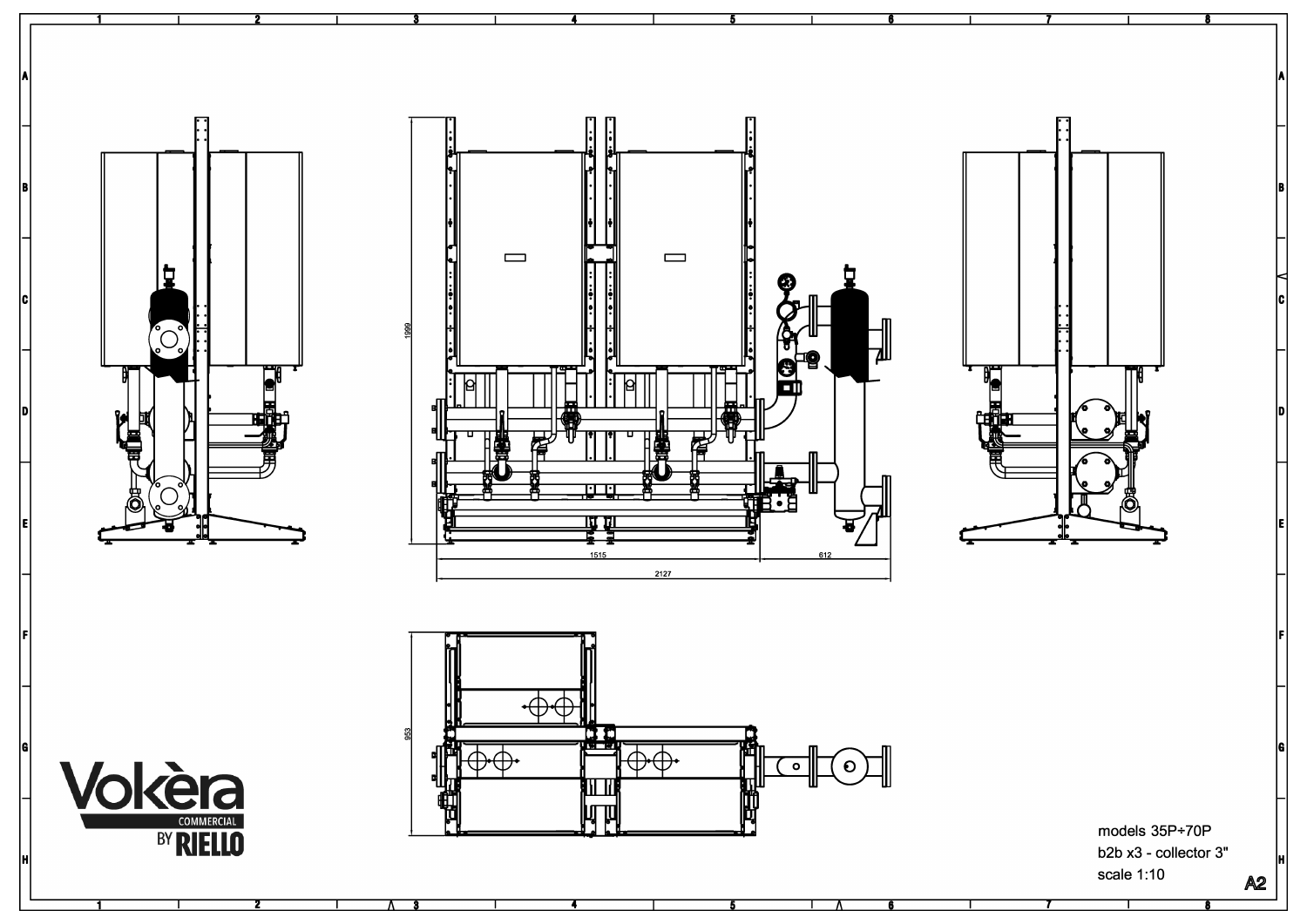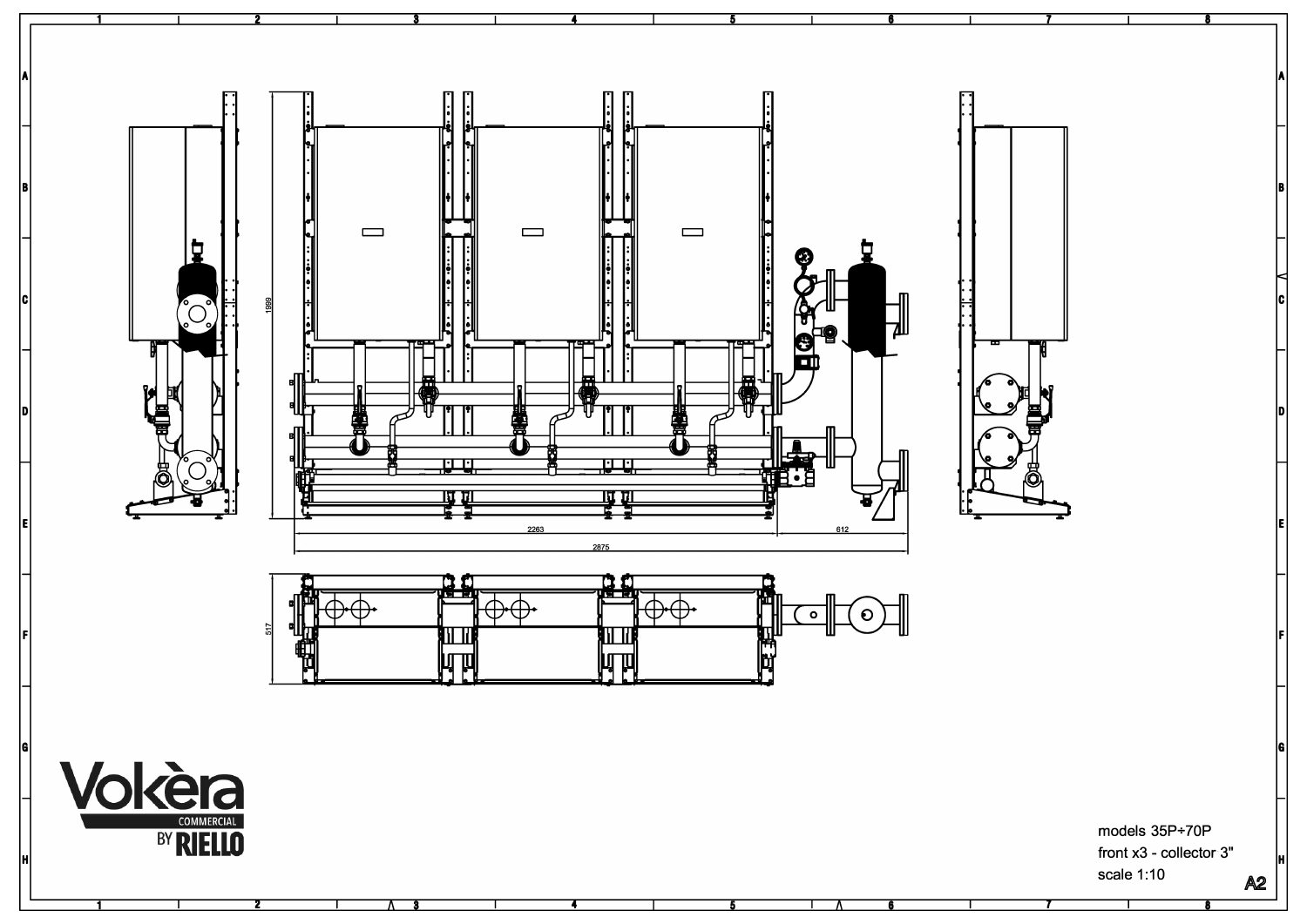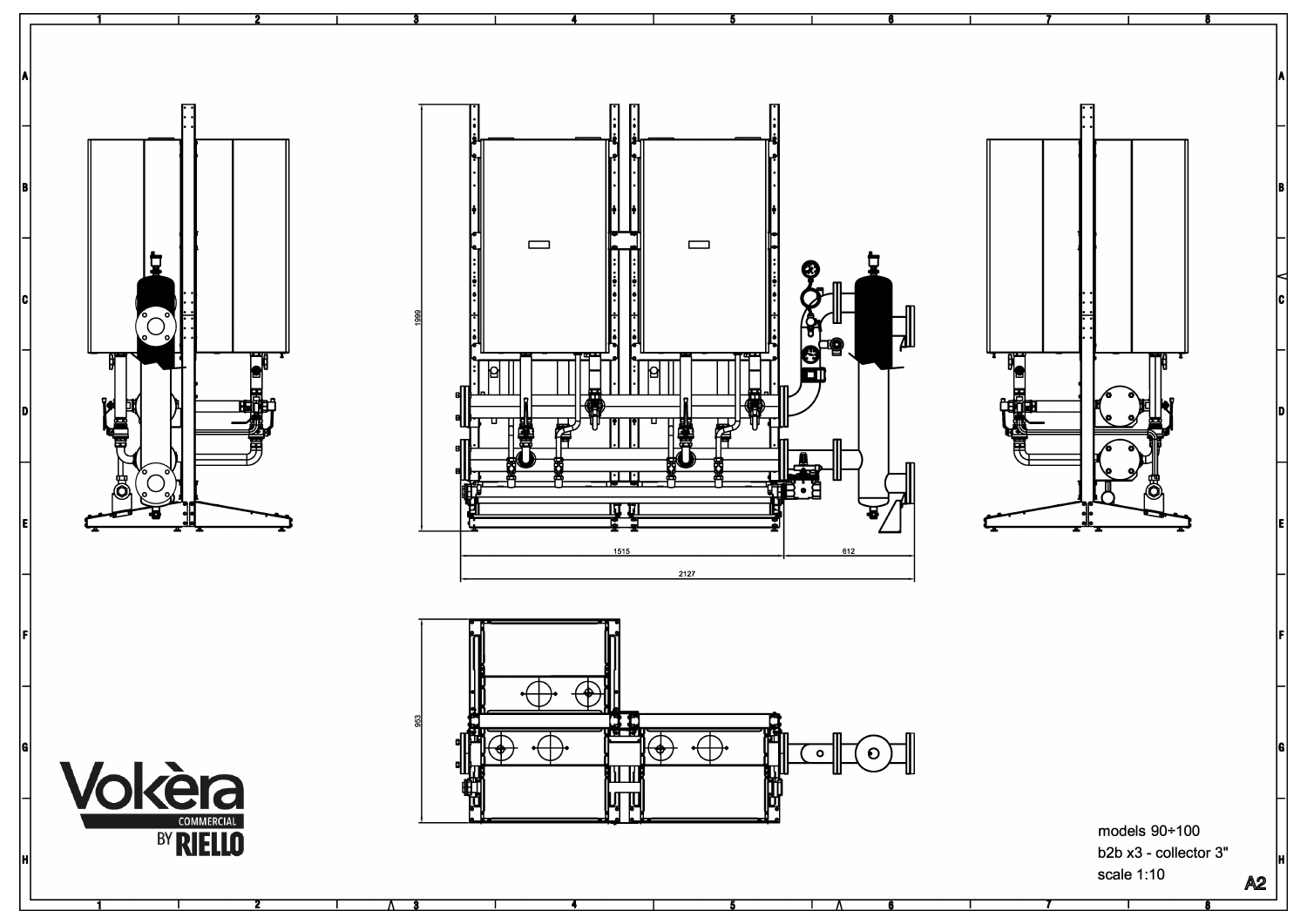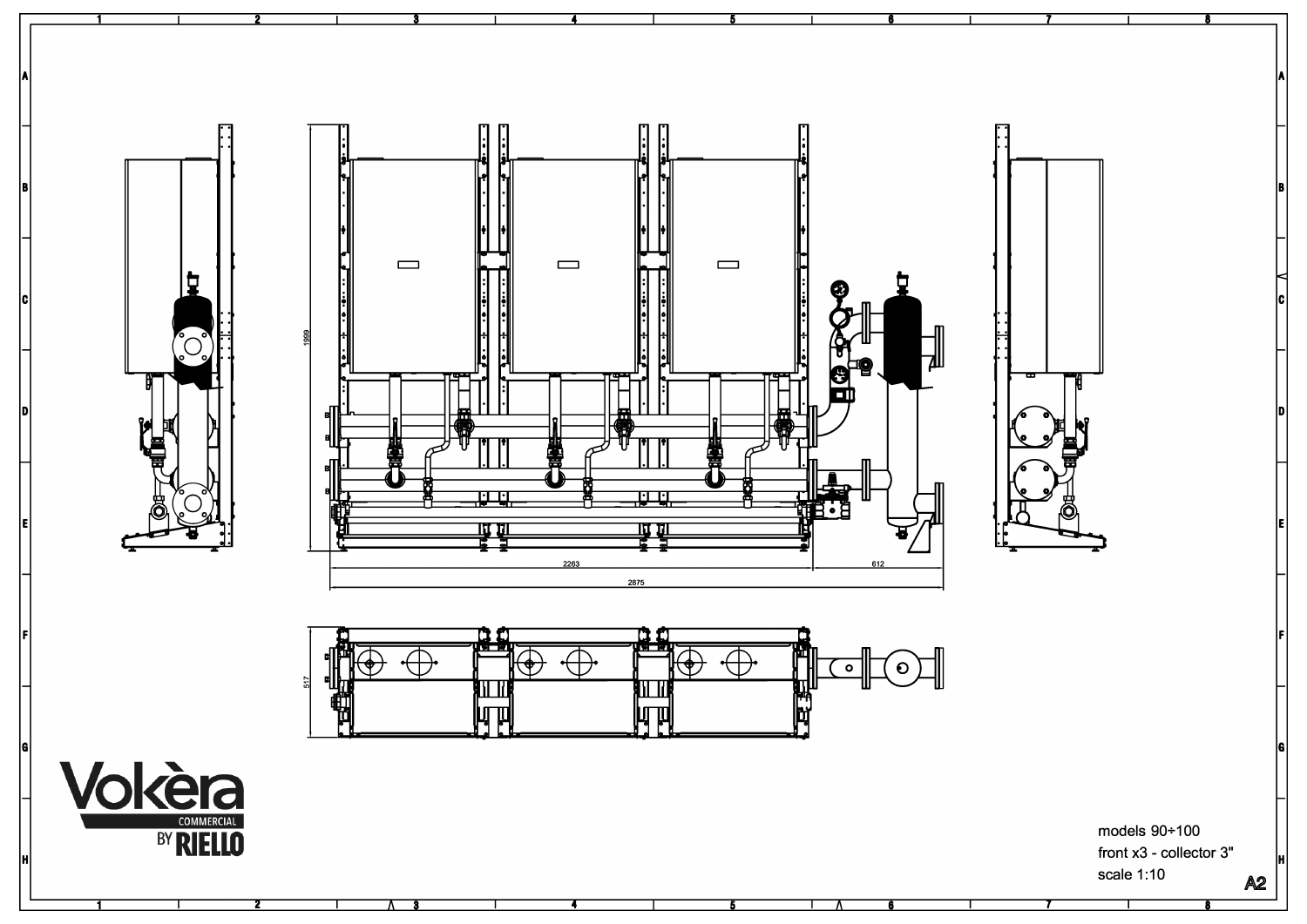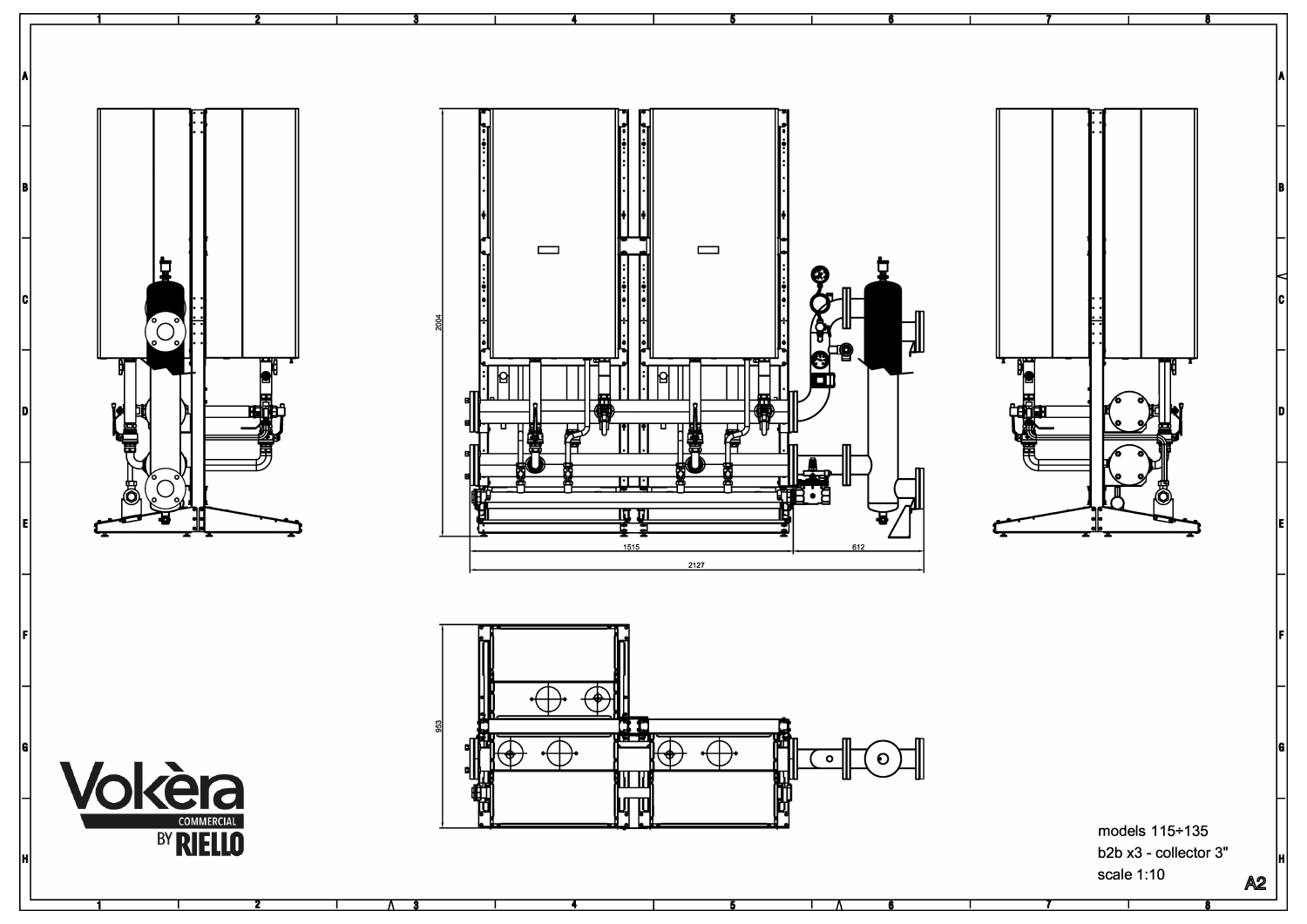